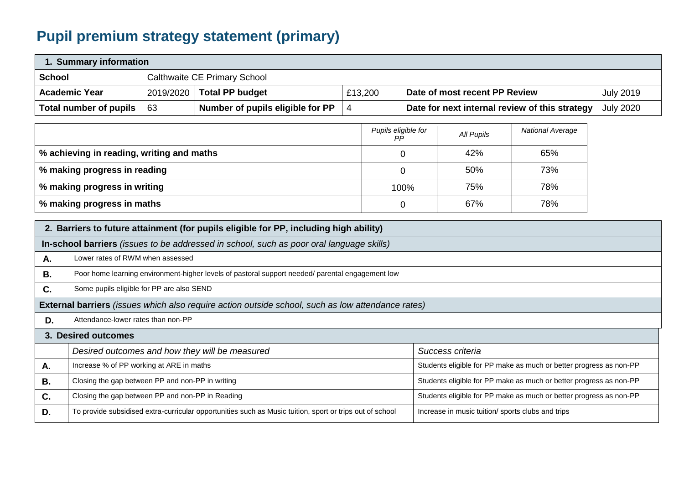## **Pupil premium strategy statement (primary)**

| 1. Summary information                                                                |                                                                                                                                                               |                                                                                                     |                                                                                                          |                |                                                |                                                                    |                                                                    |  |  |  |
|---------------------------------------------------------------------------------------|---------------------------------------------------------------------------------------------------------------------------------------------------------------|-----------------------------------------------------------------------------------------------------|----------------------------------------------------------------------------------------------------------|----------------|------------------------------------------------|--------------------------------------------------------------------|--------------------------------------------------------------------|--|--|--|
| <b>School</b><br><b>Calthwaite CE Primary School</b>                                  |                                                                                                                                                               |                                                                                                     |                                                                                                          |                |                                                |                                                                    |                                                                    |  |  |  |
|                                                                                       | <b>Academic Year</b>                                                                                                                                          | <b>Total PP budget</b><br>2019/2020<br>£13,200<br>Date of most recent PP Review<br><b>July 2019</b> |                                                                                                          |                |                                                |                                                                    |                                                                    |  |  |  |
|                                                                                       | <b>Total number of pupils</b>                                                                                                                                 | 63                                                                                                  | Number of pupils eligible for PP                                                                         | $\overline{4}$ | Date for next internal review of this strategy | <b>July 2020</b>                                                   |                                                                    |  |  |  |
|                                                                                       | Pupils eligible for<br><b>National Average</b><br>All Pupils<br>PP                                                                                            |                                                                                                     |                                                                                                          |                |                                                |                                                                    |                                                                    |  |  |  |
|                                                                                       | % achieving in reading, writing and maths<br>42%<br>65%<br>0                                                                                                  |                                                                                                     |                                                                                                          |                |                                                |                                                                    |                                                                    |  |  |  |
|                                                                                       | % making progress in reading                                                                                                                                  |                                                                                                     |                                                                                                          |                | $\overline{0}$                                 | 50%                                                                | 73%                                                                |  |  |  |
|                                                                                       | % making progress in writing                                                                                                                                  |                                                                                                     |                                                                                                          |                | 100%                                           | 75%                                                                | 78%                                                                |  |  |  |
|                                                                                       | % making progress in maths<br>67%<br>78%<br>$\mathbf 0$                                                                                                       |                                                                                                     |                                                                                                          |                |                                                |                                                                    |                                                                    |  |  |  |
| 2. Barriers to future attainment (for pupils eligible for PP, including high ability) |                                                                                                                                                               |                                                                                                     |                                                                                                          |                |                                                |                                                                    |                                                                    |  |  |  |
|                                                                                       |                                                                                                                                                               |                                                                                                     | In-school barriers (issues to be addressed in school, such as poor oral language skills)                 |                |                                                |                                                                    |                                                                    |  |  |  |
| Α.                                                                                    | Lower rates of RWM when assessed                                                                                                                              |                                                                                                     |                                                                                                          |                |                                                |                                                                    |                                                                    |  |  |  |
| <b>B.</b>                                                                             |                                                                                                                                                               |                                                                                                     | Poor home learning environment-higher levels of pastoral support needed/ parental engagement low         |                |                                                |                                                                    |                                                                    |  |  |  |
| C.                                                                                    | Some pupils eligible for PP are also SEND                                                                                                                     |                                                                                                     |                                                                                                          |                |                                                |                                                                    |                                                                    |  |  |  |
|                                                                                       |                                                                                                                                                               |                                                                                                     | <b>External barriers</b> (issues which also require action outside school, such as low attendance rates) |                |                                                |                                                                    |                                                                    |  |  |  |
| D.                                                                                    | Attendance-lower rates than non-PP                                                                                                                            |                                                                                                     |                                                                                                          |                |                                                |                                                                    |                                                                    |  |  |  |
|                                                                                       | 3. Desired outcomes                                                                                                                                           |                                                                                                     |                                                                                                          |                |                                                |                                                                    |                                                                    |  |  |  |
|                                                                                       | Desired outcomes and how they will be measured<br>Success criteria                                                                                            |                                                                                                     |                                                                                                          |                |                                                |                                                                    |                                                                    |  |  |  |
| Α.                                                                                    | Increase % of PP working at ARE in maths                                                                                                                      |                                                                                                     |                                                                                                          |                |                                                | Students eligible for PP make as much or better progress as non-PP |                                                                    |  |  |  |
| <b>B.</b>                                                                             | Closing the gap between PP and non-PP in writing                                                                                                              |                                                                                                     |                                                                                                          |                |                                                |                                                                    | Students eligible for PP make as much or better progress as non-PP |  |  |  |
| C.                                                                                    | Closing the gap between PP and non-PP in Reading                                                                                                              |                                                                                                     |                                                                                                          |                |                                                |                                                                    | Students eligible for PP make as much or better progress as non-PP |  |  |  |
| D.                                                                                    | To provide subsidised extra-curricular opportunities such as Music tuition, sport or trips out of school<br>Increase in music tuition/ sports clubs and trips |                                                                                                     |                                                                                                          |                |                                                |                                                                    |                                                                    |  |  |  |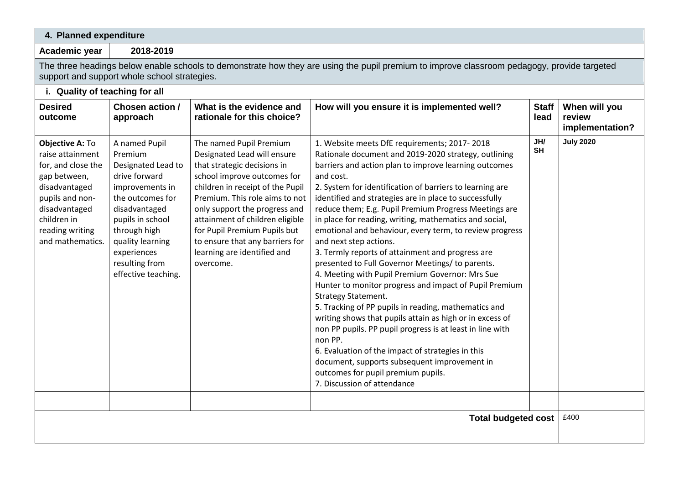## **4. Planned expenditure**

**Academic year 2018-2019**

H

The three headings below enable schools to demonstrate how they are using the pupil premium to improve classroom pedagogy, provide targeted support and support whole school strategies.

| i. Quality of teaching for all                                                                                                                                                       |                                                                                                                                                                                                                                         |                                                                                                                                                                                                                                                                                                                                                                               |                                                                                                                                                                                                                                                                                                                                                                                                                                                                                                                                                                                                                                                                                                                                                                                                                                                                                                                                                                                                                                                                                                                                   |                                            |                  |  |  |  |
|--------------------------------------------------------------------------------------------------------------------------------------------------------------------------------------|-----------------------------------------------------------------------------------------------------------------------------------------------------------------------------------------------------------------------------------------|-------------------------------------------------------------------------------------------------------------------------------------------------------------------------------------------------------------------------------------------------------------------------------------------------------------------------------------------------------------------------------|-----------------------------------------------------------------------------------------------------------------------------------------------------------------------------------------------------------------------------------------------------------------------------------------------------------------------------------------------------------------------------------------------------------------------------------------------------------------------------------------------------------------------------------------------------------------------------------------------------------------------------------------------------------------------------------------------------------------------------------------------------------------------------------------------------------------------------------------------------------------------------------------------------------------------------------------------------------------------------------------------------------------------------------------------------------------------------------------------------------------------------------|--------------------------------------------|------------------|--|--|--|
| <b>Desired</b><br>outcome                                                                                                                                                            | Chosen action /<br>What is the evidence and<br>How will you ensure it is implemented well?<br>rationale for this choice?<br>approach                                                                                                    |                                                                                                                                                                                                                                                                                                                                                                               | <b>Staff</b><br>lead                                                                                                                                                                                                                                                                                                                                                                                                                                                                                                                                                                                                                                                                                                                                                                                                                                                                                                                                                                                                                                                                                                              | When will you<br>review<br>implementation? |                  |  |  |  |
| Objective A: To<br>raise attainment<br>for, and close the<br>gap between,<br>disadvantaged<br>pupils and non-<br>disadvantaged<br>children in<br>reading writing<br>and mathematics. | A named Pupil<br>Premium<br>Designated Lead to<br>drive forward<br>improvements in<br>the outcomes for<br>disadvantaged<br>pupils in school<br>through high<br>quality learning<br>experiences<br>resulting from<br>effective teaching. | The named Pupil Premium<br>Designated Lead will ensure<br>that strategic decisions in<br>school improve outcomes for<br>children in receipt of the Pupil<br>Premium. This role aims to not<br>only support the progress and<br>attainment of children eligible<br>for Pupil Premium Pupils but<br>to ensure that any barriers for<br>learning are identified and<br>overcome. | 1. Website meets DfE requirements; 2017-2018<br>Rationale document and 2019-2020 strategy, outlining<br>barriers and action plan to improve learning outcomes<br>and cost.<br>2. System for identification of barriers to learning are<br>identified and strategies are in place to successfully<br>reduce them; E.g. Pupil Premium Progress Meetings are<br>in place for reading, writing, mathematics and social,<br>emotional and behaviour, every term, to review progress<br>and next step actions.<br>3. Termly reports of attainment and progress are<br>presented to Full Governor Meetings/ to parents.<br>4. Meeting with Pupil Premium Governor: Mrs Sue<br>Hunter to monitor progress and impact of Pupil Premium<br><b>Strategy Statement.</b><br>5. Tracking of PP pupils in reading, mathematics and<br>writing shows that pupils attain as high or in excess of<br>non PP pupils. PP pupil progress is at least in line with<br>non PP.<br>6. Evaluation of the impact of strategies in this<br>document, supports subsequent improvement in<br>outcomes for pupil premium pupils.<br>7. Discussion of attendance | JH/<br><b>SH</b>                           | <b>July 2020</b> |  |  |  |
| £400<br><b>Total budgeted cost</b>                                                                                                                                                   |                                                                                                                                                                                                                                         |                                                                                                                                                                                                                                                                                                                                                                               |                                                                                                                                                                                                                                                                                                                                                                                                                                                                                                                                                                                                                                                                                                                                                                                                                                                                                                                                                                                                                                                                                                                                   |                                            |                  |  |  |  |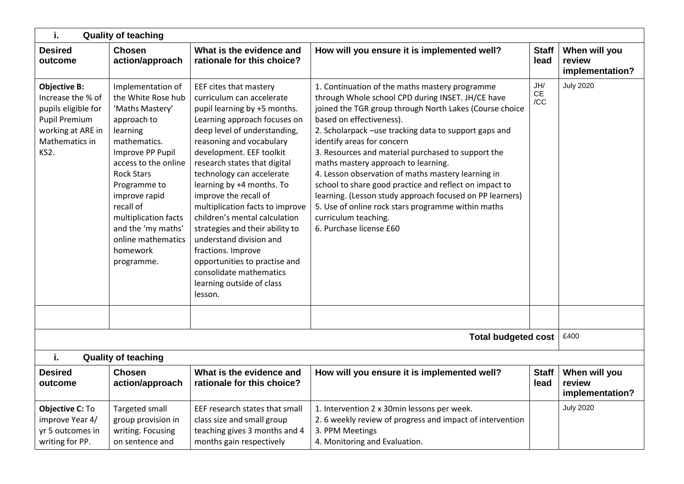| i.<br><b>Quality of teaching</b>                                                                                                |                                                                                                                                                                                                                                                                                                                                                                           |                                                                                                                                                                                                                                                                                                                                                                                                                                                                                                                                                                                            |                                                                                                                                                                                                                                                                                                                                                                                                                                                                                                                                                                                                                                                                     |  |                                            |  |  |  |  |
|---------------------------------------------------------------------------------------------------------------------------------|---------------------------------------------------------------------------------------------------------------------------------------------------------------------------------------------------------------------------------------------------------------------------------------------------------------------------------------------------------------------------|--------------------------------------------------------------------------------------------------------------------------------------------------------------------------------------------------------------------------------------------------------------------------------------------------------------------------------------------------------------------------------------------------------------------------------------------------------------------------------------------------------------------------------------------------------------------------------------------|---------------------------------------------------------------------------------------------------------------------------------------------------------------------------------------------------------------------------------------------------------------------------------------------------------------------------------------------------------------------------------------------------------------------------------------------------------------------------------------------------------------------------------------------------------------------------------------------------------------------------------------------------------------------|--|--------------------------------------------|--|--|--|--|
| <b>Desired</b><br>outcome                                                                                                       | <b>Chosen</b><br>What is the evidence and<br>How will you ensure it is implemented well?<br><b>Staff</b><br>action/approach<br>rationale for this choice?<br>lead                                                                                                                                                                                                         |                                                                                                                                                                                                                                                                                                                                                                                                                                                                                                                                                                                            |                                                                                                                                                                                                                                                                                                                                                                                                                                                                                                                                                                                                                                                                     |  |                                            |  |  |  |  |
| <b>Objective B:</b><br>Increase the % of<br>pupils eligible for<br>Pupil Premium<br>working at ARE in<br>Mathematics in<br>KS2. | Implementation of<br>the White Rose hub<br>'Maths Mastery'<br>approach to<br>learning<br>mathematics.<br>Improve PP Pupil<br>access to the online<br><b>Rock Stars</b><br>Programme to<br>improve rapid<br>recall of<br>multiplication facts<br>and the 'my maths'<br>online mathematics<br>homework<br>programme.                                                        | EEF cites that mastery<br>curriculum can accelerate<br>pupil learning by +5 months.<br>Learning approach focuses on<br>deep level of understanding,<br>reasoning and vocabulary<br>development. EEF toolkit<br>research states that digital<br>technology can accelerate<br>learning by +4 months. To<br>improve the recall of<br>multiplication facts to improve<br>children's mental calculation<br>strategies and their ability to<br>understand division and<br>fractions. Improve<br>opportunities to practise and<br>consolidate mathematics<br>learning outside of class<br>lesson. | 1. Continuation of the maths mastery programme<br>through Whole school CPD during INSET. JH/CE have<br>joined the TGR group through North Lakes (Course choice<br>based on effectiveness).<br>2. Scholarpack -use tracking data to support gaps and<br>identify areas for concern<br>3. Resources and material purchased to support the<br>maths mastery approach to learning.<br>4. Lesson observation of maths mastery learning in<br>school to share good practice and reflect on impact to<br>learning. (Lesson study approach focused on PP learners)<br>5. Use of online rock stars programme within maths<br>curriculum teaching.<br>6. Purchase license £60 |  | <b>July 2020</b>                           |  |  |  |  |
|                                                                                                                                 |                                                                                                                                                                                                                                                                                                                                                                           |                                                                                                                                                                                                                                                                                                                                                                                                                                                                                                                                                                                            |                                                                                                                                                                                                                                                                                                                                                                                                                                                                                                                                                                                                                                                                     |  |                                            |  |  |  |  |
|                                                                                                                                 |                                                                                                                                                                                                                                                                                                                                                                           |                                                                                                                                                                                                                                                                                                                                                                                                                                                                                                                                                                                            | <b>Total budgeted cost</b>                                                                                                                                                                                                                                                                                                                                                                                                                                                                                                                                                                                                                                          |  | £400                                       |  |  |  |  |
| i.                                                                                                                              | <b>Quality of teaching</b>                                                                                                                                                                                                                                                                                                                                                |                                                                                                                                                                                                                                                                                                                                                                                                                                                                                                                                                                                            |                                                                                                                                                                                                                                                                                                                                                                                                                                                                                                                                                                                                                                                                     |  |                                            |  |  |  |  |
| <b>Desired</b><br>outcome                                                                                                       | <b>Chosen</b><br>action/approach                                                                                                                                                                                                                                                                                                                                          | What is the evidence and<br>rationale for this choice?                                                                                                                                                                                                                                                                                                                                                                                                                                                                                                                                     | How will you ensure it is implemented well?<br><b>Staff</b><br>lead                                                                                                                                                                                                                                                                                                                                                                                                                                                                                                                                                                                                 |  | When will you<br>review<br>implementation? |  |  |  |  |
| Objective C: To<br>improve Year 4/<br>yr 5 outcomes in<br>writing for PP.                                                       | Targeted small<br>EEF research states that small<br>1. Intervention 2 x 30min lessons per week.<br>class size and small group<br>2. 6 weekly review of progress and impact of intervention<br>group provision in<br>teaching gives 3 months and 4<br>writing. Focusing<br>3. PPM Meetings<br>months gain respectively<br>4. Monitoring and Evaluation.<br>on sentence and |                                                                                                                                                                                                                                                                                                                                                                                                                                                                                                                                                                                            |                                                                                                                                                                                                                                                                                                                                                                                                                                                                                                                                                                                                                                                                     |  | <b>July 2020</b>                           |  |  |  |  |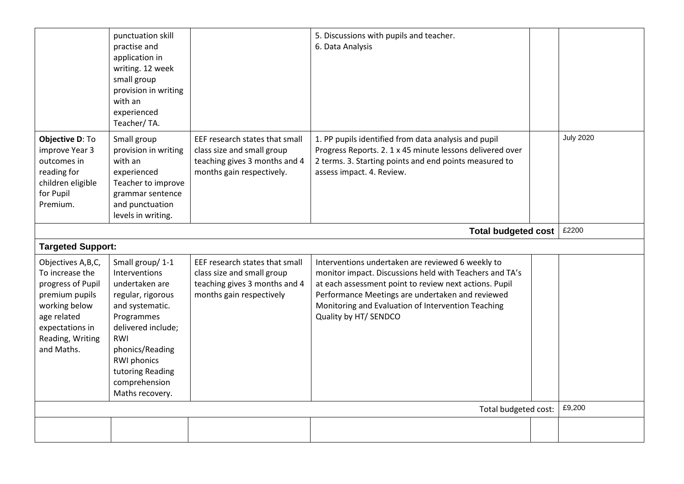|                                                                                                                                                                                              |                                                                                                                                                                                                                                        |                                                                                                                            | Total budgeted cost:                                                                                                                                                                                                                                                                                      |  | £9,200           |  |
|----------------------------------------------------------------------------------------------------------------------------------------------------------------------------------------------|----------------------------------------------------------------------------------------------------------------------------------------------------------------------------------------------------------------------------------------|----------------------------------------------------------------------------------------------------------------------------|-----------------------------------------------------------------------------------------------------------------------------------------------------------------------------------------------------------------------------------------------------------------------------------------------------------|--|------------------|--|
| <b>Targeted Support:</b><br>Objectives A,B,C,<br>To increase the<br>progress of Pupil<br>premium pupils<br>working below<br>age related<br>expectations in<br>Reading, Writing<br>and Maths. | Small group/1-1<br>Interventions<br>undertaken are<br>regular, rigorous<br>and systematic.<br>Programmes<br>delivered include;<br>RWI<br>phonics/Reading<br><b>RWI</b> phonics<br>tutoring Reading<br>comprehension<br>Maths recovery. | EEF research states that small<br>class size and small group<br>teaching gives 3 months and 4<br>months gain respectively  | Interventions undertaken are reviewed 6 weekly to<br>monitor impact. Discussions held with Teachers and TA's<br>at each assessment point to review next actions. Pupil<br>Performance Meetings are undertaken and reviewed<br>Monitoring and Evaluation of Intervention Teaching<br>Quality by HT/ SENDCO |  |                  |  |
| <b>Total budgeted cost</b>                                                                                                                                                                   |                                                                                                                                                                                                                                        |                                                                                                                            |                                                                                                                                                                                                                                                                                                           |  |                  |  |
| Objective D: To<br>improve Year 3<br>outcomes in<br>reading for<br>children eligible<br>for Pupil<br>Premium.                                                                                | small group<br>provision in writing<br>with an<br>experienced<br>Teacher/TA.<br>Small group<br>provision in writing<br>with an<br>experienced<br>Teacher to improve<br>grammar sentence<br>and punctuation<br>levels in writing.       | EEF research states that small<br>class size and small group<br>teaching gives 3 months and 4<br>months gain respectively. | 1. PP pupils identified from data analysis and pupil<br>Progress Reports. 2. 1 x 45 minute lessons delivered over<br>2 terms. 3. Starting points and end points measured to<br>assess impact. 4. Review.                                                                                                  |  | <b>July 2020</b> |  |
|                                                                                                                                                                                              | punctuation skill<br>practise and<br>application in<br>writing. 12 week                                                                                                                                                                |                                                                                                                            | 5. Discussions with pupils and teacher.<br>6. Data Analysis                                                                                                                                                                                                                                               |  |                  |  |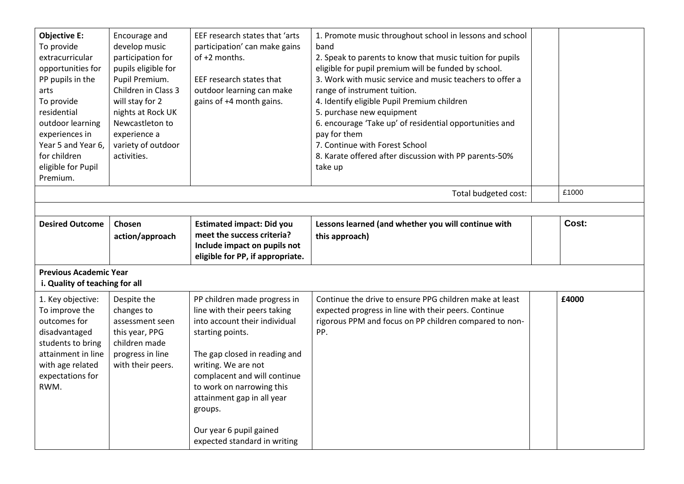| <b>Objective E:</b><br>To provide<br>extracurricular<br>opportunities for<br>PP pupils in the<br>arts<br>To provide<br>residential<br>outdoor learning<br>experiences in<br>Year 5 and Year 6,<br>for children<br>eligible for Pupil<br>Premium. | Encourage and<br>develop music<br>participation for<br>pupils eligible for<br>Pupil Premium.<br>Children in Class 3<br>will stay for 2<br>nights at Rock UK<br>Newcastleton to<br>experience a<br>variety of outdoor<br>activities. | EEF research states that 'arts<br>participation' can make gains<br>of +2 months.<br>EEF research states that<br>outdoor learning can make<br>gains of +4 month gains.     | 1. Promote music throughout school in lessons and school<br>band<br>2. Speak to parents to know that music tuition for pupils<br>eligible for pupil premium will be funded by school.<br>3. Work with music service and music teachers to offer a<br>range of instrument tuition.<br>4. Identify eligible Pupil Premium children<br>5. purchase new equipment<br>6. encourage 'Take up' of residential opportunities and<br>pay for them<br>7. Continue with Forest School<br>8. Karate offered after discussion with PP parents-50%<br>take up |  |       |  |  |  |  |  |
|--------------------------------------------------------------------------------------------------------------------------------------------------------------------------------------------------------------------------------------------------|-------------------------------------------------------------------------------------------------------------------------------------------------------------------------------------------------------------------------------------|---------------------------------------------------------------------------------------------------------------------------------------------------------------------------|-------------------------------------------------------------------------------------------------------------------------------------------------------------------------------------------------------------------------------------------------------------------------------------------------------------------------------------------------------------------------------------------------------------------------------------------------------------------------------------------------------------------------------------------------|--|-------|--|--|--|--|--|
|                                                                                                                                                                                                                                                  |                                                                                                                                                                                                                                     |                                                                                                                                                                           | Total budgeted cost:                                                                                                                                                                                                                                                                                                                                                                                                                                                                                                                            |  | £1000 |  |  |  |  |  |
|                                                                                                                                                                                                                                                  |                                                                                                                                                                                                                                     |                                                                                                                                                                           |                                                                                                                                                                                                                                                                                                                                                                                                                                                                                                                                                 |  |       |  |  |  |  |  |
| <b>Desired Outcome</b>                                                                                                                                                                                                                           | Chosen<br>action/approach                                                                                                                                                                                                           | <b>Estimated impact: Did you</b><br>meet the success criteria?<br>Include impact on pupils not<br>eligible for PP, if appropriate.                                        | Lessons learned (and whether you will continue with<br>this approach)                                                                                                                                                                                                                                                                                                                                                                                                                                                                           |  | Cost: |  |  |  |  |  |
| <b>Previous Academic Year</b><br>i. Quality of teaching for all                                                                                                                                                                                  |                                                                                                                                                                                                                                     |                                                                                                                                                                           |                                                                                                                                                                                                                                                                                                                                                                                                                                                                                                                                                 |  |       |  |  |  |  |  |
| 1. Key objective:<br>To improve the<br>outcomes for<br>disadvantaged<br>students to bring<br>attainment in line<br>with age related<br>expectations for                                                                                          | Despite the<br>changes to<br>assessment seen<br>this year, PPG<br>children made<br>progress in line<br>with their peers.                                                                                                            | PP children made progress in<br>line with their peers taking<br>into account their individual<br>starting points.<br>The gap closed in reading and<br>writing. We are not | Continue the drive to ensure PPG children make at least<br>expected progress in line with their peers. Continue<br>rigorous PPM and focus on PP children compared to non-<br>PP.                                                                                                                                                                                                                                                                                                                                                                |  | £4000 |  |  |  |  |  |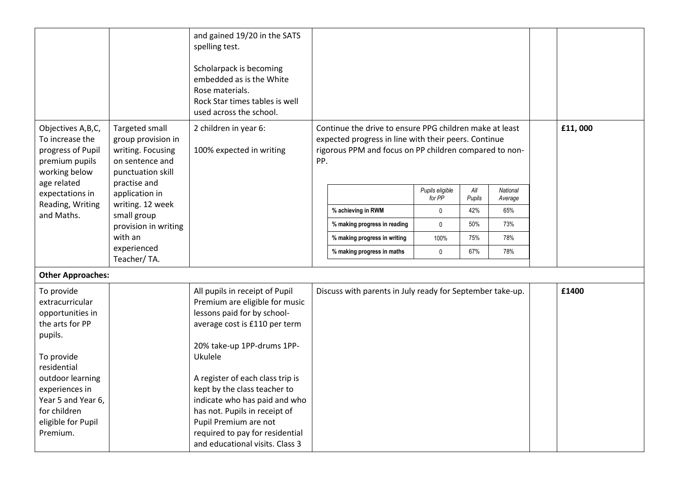|                                                                                                                                                                          |                                                                                                   | and gained 19/20 in the SATS<br>spelling test.<br>Scholarpack is becoming<br>embedded as is the White<br>Rose materials.<br>Rock Star times tables is well<br>used across the school.                                                                                          |     |                                                                                                                                                                           |                           |               |                     |         |
|--------------------------------------------------------------------------------------------------------------------------------------------------------------------------|---------------------------------------------------------------------------------------------------|--------------------------------------------------------------------------------------------------------------------------------------------------------------------------------------------------------------------------------------------------------------------------------|-----|---------------------------------------------------------------------------------------------------------------------------------------------------------------------------|---------------------------|---------------|---------------------|---------|
| Objectives A,B,C,<br>To increase the<br>progress of Pupil<br>premium pupils<br>working below                                                                             | Targeted small<br>group provision in<br>writing. Focusing<br>on sentence and<br>punctuation skill | 2 children in year 6:<br>100% expected in writing                                                                                                                                                                                                                              | PP. | Continue the drive to ensure PPG children make at least<br>expected progress in line with their peers. Continue<br>rigorous PPM and focus on PP children compared to non- |                           |               |                     | £11,000 |
| age related<br>expectations in                                                                                                                                           | practise and<br>application in                                                                    |                                                                                                                                                                                                                                                                                |     |                                                                                                                                                                           | Pupils eligible<br>for PP | All<br>Pupils | National<br>Average |         |
| Reading, Writing<br>and Maths.                                                                                                                                           | writing. 12 week                                                                                  |                                                                                                                                                                                                                                                                                |     | % achieving in RWM                                                                                                                                                        | 0                         | 42%           | 65%                 |         |
|                                                                                                                                                                          | small group<br>provision in writing                                                               |                                                                                                                                                                                                                                                                                |     | % making progress in reading                                                                                                                                              | 0                         | 50%           | 73%                 |         |
|                                                                                                                                                                          | with an                                                                                           |                                                                                                                                                                                                                                                                                |     | % making progress in writing                                                                                                                                              | 100%                      | 75%           | 78%                 |         |
|                                                                                                                                                                          | experienced<br>Teacher/TA.                                                                        |                                                                                                                                                                                                                                                                                |     | % making progress in maths                                                                                                                                                | 0                         | 67%           | 78%                 |         |
| <b>Other Approaches:</b>                                                                                                                                                 |                                                                                                   |                                                                                                                                                                                                                                                                                |     |                                                                                                                                                                           |                           |               |                     |         |
| To provide<br>extracurricular<br>opportunities in<br>the arts for PP<br>pupils.<br>To provide<br>residential<br>outdoor learning<br>experiences in<br>Year 5 and Year 6, |                                                                                                   | All pupils in receipt of Pupil<br>Premium are eligible for music<br>lessons paid for by school-<br>average cost is £110 per term<br>20% take-up 1PP-drums 1PP-<br>Ukulele<br>A register of each class trip is<br>kept by the class teacher to<br>indicate who has paid and who |     | Discuss with parents in July ready for September take-up.                                                                                                                 |                           |               |                     | £1400   |
| for children<br>eligible for Pupil<br>Premium.                                                                                                                           |                                                                                                   | has not. Pupils in receipt of<br>Pupil Premium are not<br>required to pay for residential<br>and educational visits. Class 3                                                                                                                                                   |     |                                                                                                                                                                           |                           |               |                     |         |